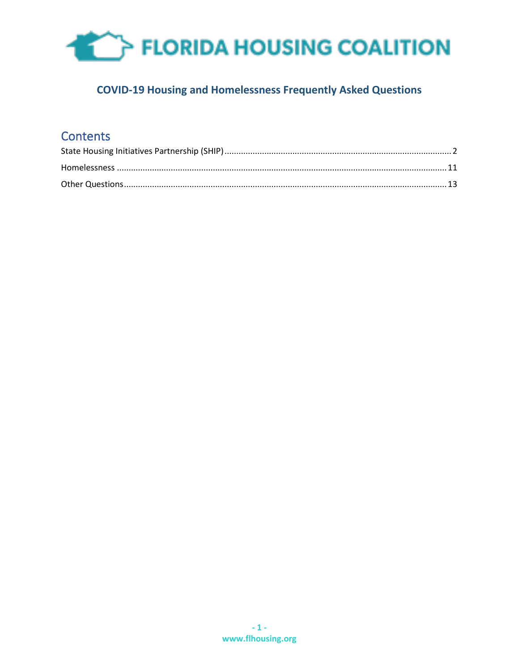

# **COVID-19 Housing and Homelessness Frequently Asked Questions**

# **Contents**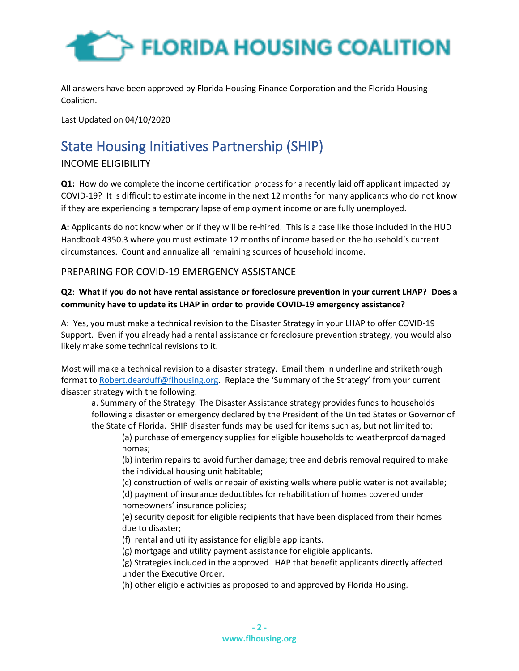

<span id="page-1-0"></span>All answers have been approved by Florida Housing Finance Corporation and the Florida Housing Coalition.

Last Updated on 04/10/2020

# State Housing Initiatives Partnership (SHIP)

# INCOME ELIGIBILITY

**Q1:** How do we complete the income certification process for a recently laid off applicant impacted by COVID-19? It is difficult to estimate income in the next 12 months for many applicants who do not know if they are experiencing a temporary lapse of employment income or are fully unemployed.

**A:** Applicants do not know when or if they will be re-hired. This is a case like those included in the HUD Handbook 4350.3 where you must estimate 12 months of income based on the household's current circumstances. Count and annualize all remaining sources of household income.

# PREPARING FOR COVID-19 EMERGENCY ASSISTANCE

### **Q2**: **What if you do not have rental assistance or foreclosure prevention in your current LHAP? Does a community have to update its LHAP in order to provide COVID-19 emergency assistance?**

A: Yes, you must make a technical revision to the Disaster Strategy in your LHAP to offer COVID-19 Support. Even if you already had a rental assistance or foreclosure prevention strategy, you would also likely make some technical revisions to it.

Most will make a technical revision to a disaster strategy. Email them in underline and strikethrough format to [Robert.dearduff@flhousing.org.](mailto:Robert.dearduff@flhousing.org) Replace the 'Summary of the Strategy' from your current disaster strategy with the following:

a. Summary of the Strategy: The Disaster Assistance strategy provides funds to households following a disaster or emergency declared by the President of the United States or Governor of the State of Florida. SHIP disaster funds may be used for items such as, but not limited to:

(a) purchase of emergency supplies for eligible households to weatherproof damaged homes;

(b) interim repairs to avoid further damage; tree and debris removal required to make the individual housing unit habitable;

(c) construction of wells or repair of existing wells where public water is not available;

(d) payment of insurance deductibles for rehabilitation of homes covered under homeowners' insurance policies;

(e) security deposit for eligible recipients that have been displaced from their homes due to disaster;

(f) rental and utility assistance for eligible applicants.

(g) mortgage and utility payment assistance for eligible applicants.

(g) Strategies included in the approved LHAP that benefit applicants directly affected under the Executive Order.

(h) other eligible activities as proposed to and approved by Florida Housing.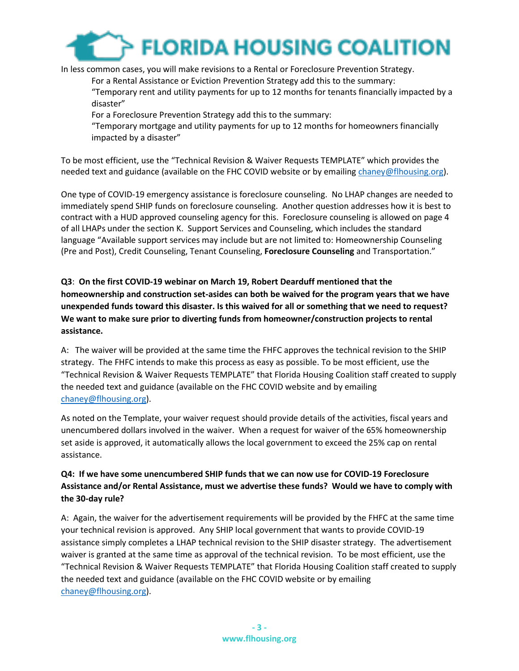

In less common cases, you will make revisions to a Rental or Foreclosure Prevention Strategy.

For a Rental Assistance or Eviction Prevention Strategy add this to the summary:

"Temporary rent and utility payments for up to 12 months for tenants financially impacted by a disaster"

For a Foreclosure Prevention Strategy add this to the summary:

"Temporary mortgage and utility payments for up to 12 months for homeowners financially impacted by a disaster"

To be most efficient, use the "Technical Revision & Waiver Requests TEMPLATE" which provides the needed text and guidance (available on the FHC COVID website or by emailin[g chaney@flhousing.org\)](mailto:chaney@flhousing.org).

One type of COVID-19 emergency assistance is foreclosure counseling. No LHAP changes are needed to immediately spend SHIP funds on foreclosure counseling. Another question addresses how it is best to contract with a HUD approved counseling agency for this. Foreclosure counseling is allowed on page 4 of all LHAPs under the section K. Support Services and Counseling, which includes the standard language "Available support services may include but are not limited to: Homeownership Counseling (Pre and Post), Credit Counseling, Tenant Counseling, **Foreclosure Counseling** and Transportation."

**Q3**: **On the first COVID-19 webinar on March 19, Robert Dearduff mentioned that the homeownership and construction set-asides can both be waived for the program years that we have unexpended funds toward this disaster. Is this waived for all or something that we need to request? We want to make sure prior to diverting funds from homeowner/construction projects to rental assistance.** 

A: The waiver will be provided at the same time the FHFC approves the technical revision to the SHIP strategy. The FHFC intends to make this process as easy as possible. To be most efficient, use the "Technical Revision & Waiver Requests TEMPLATE" that Florida Housing Coalition staff created to supply the needed text and guidance (available on the FHC COVID website and by emailing [chaney@flhousing.org\)](mailto:chaney@flhousing.org).

As noted on the Template, your waiver request should provide details of the activities, fiscal years and unencumbered dollars involved in the waiver. When a request for waiver of the 65% homeownership set aside is approved, it automatically allows the local government to exceed the 25% cap on rental assistance.

# **Q4: If we have some unencumbered SHIP funds that we can now use for COVID-19 Foreclosure Assistance and/or Rental Assistance, must we advertise these funds? Would we have to comply with the 30-day rule?**

A: Again, the waiver for the advertisement requirements will be provided by the FHFC at the same time your technical revision is approved. Any SHIP local government that wants to provide COVID-19 assistance simply completes a LHAP technical revision to the SHIP disaster strategy. The advertisement waiver is granted at the same time as approval of the technical revision. To be most efficient, use the "Technical Revision & Waiver Requests TEMPLATE" that Florida Housing Coalition staff created to supply the needed text and guidance (available on the FHC COVID website or by emailing [chaney@flhousing.org\)](mailto:chaney@flhousing.org).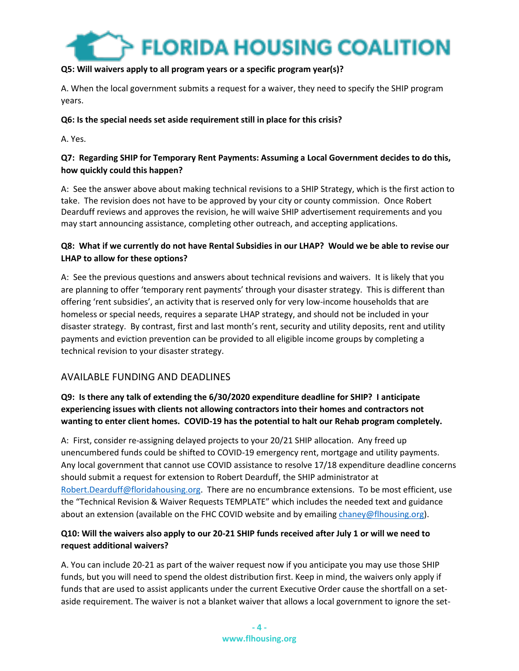

#### **Q5: Will waivers apply to all program years or a specific program year(s)?**

A. When the local government submits a request for a waiver, they need to specify the SHIP program years.

#### **Q6: Is the special needs set aside requirement still in place for this crisis?**

A. Yes.

# **Q7: Regarding SHIP for Temporary Rent Payments: Assuming a Local Government decides to do this, how quickly could this happen?**

A: See the answer above about making technical revisions to a SHIP Strategy, which is the first action to take. The revision does not have to be approved by your city or county commission. Once Robert Dearduff reviews and approves the revision, he will waive SHIP advertisement requirements and you may start announcing assistance, completing other outreach, and accepting applications.

# **Q8: What if we currently do not have Rental Subsidies in our LHAP? Would we be able to revise our LHAP to allow for these options?**

A: See the previous questions and answers about technical revisions and waivers. It is likely that you are planning to offer 'temporary rent payments' through your disaster strategy. This is different than offering 'rent subsidies', an activity that is reserved only for very low-income households that are homeless or special needs, requires a separate LHAP strategy, and should not be included in your disaster strategy. By contrast, first and last month's rent, security and utility deposits, rent and utility payments and eviction prevention can be provided to all eligible income groups by completing a technical revision to your disaster strategy.

### AVAILABLE FUNDING AND DEADLINES

# **Q9: Is there any talk of extending the 6/30/2020 expenditure deadline for SHIP? I anticipate experiencing issues with clients not allowing contractors into their homes and contractors not wanting to enter client homes. COVID-19 has the potential to halt our Rehab program completely.**

A: First, consider re-assigning delayed projects to your 20/21 SHIP allocation. Any freed up unencumbered funds could be shifted to COVID-19 emergency rent, mortgage and utility payments. Any local government that cannot use COVID assistance to resolve 17/18 expenditure deadline concerns should submit a request for extension to Robert Dearduff, the SHIP administrator at [Robert.Dearduff@floridahousing.org.](mailto:Robert.Dearduff@floridahousing.org) There are no encumbrance extensions. To be most efficient, use the "Technical Revision & Waiver Requests TEMPLATE" which includes the needed text and guidance about an extension (available on the FHC COVID website and by emailin[g chaney@flhousing.org\)](mailto:chaney@flhousing.org).

### **Q10: Will the waivers also apply to our 20-21 SHIP funds received after July 1 or will we need to request additional waivers?**

A. You can include 20-21 as part of the waiver request now if you anticipate you may use those SHIP funds, but you will need to spend the oldest distribution first. Keep in mind, the waivers only apply if funds that are used to assist applicants under the current Executive Order cause the shortfall on a setaside requirement. The waiver is not a blanket waiver that allows a local government to ignore the set-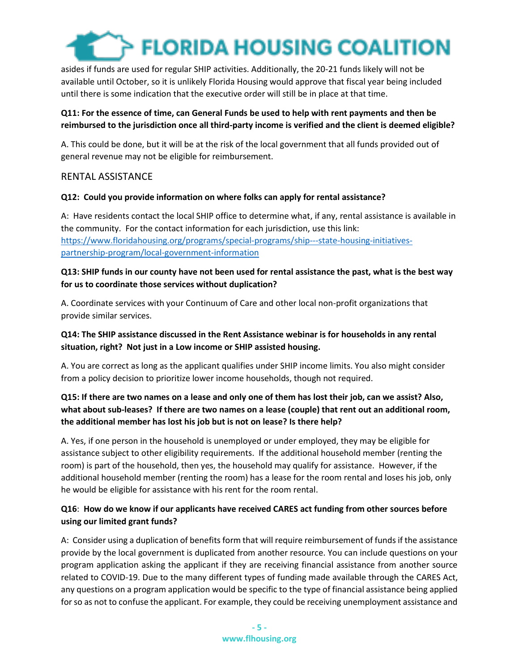asides if funds are used for regular SHIP activities. Additionally, the 20-21 funds likely will not be available until October, so it is unlikely Florida Housing would approve that fiscal year being included until there is some indication that the executive order will still be in place at that time.

# **Q11: For the essence of time, can General Funds be used to help with rent payments and then be reimbursed to the jurisdiction once all third-party income is verified and the client is deemed eligible?**

A. This could be done, but it will be at the risk of the local government that all funds provided out of general revenue may not be eligible for reimbursement.

# RENTAL ASSISTANCE

#### **Q12: Could you provide information on where folks can apply for rental assistance?**

A: Have residents contact the local SHIP office to determine what, if any, rental assistance is available in the community. For the contact information for each jurisdiction, use this link: [https://www.floridahousing.org/programs/special-programs/ship---state-housing-initiatives](https://www.floridahousing.org/programs/special-programs/ship---state-housing-initiatives-partnership-program/local-government-information)[partnership-program/local-government-information](https://www.floridahousing.org/programs/special-programs/ship---state-housing-initiatives-partnership-program/local-government-information) 

### **Q13: SHIP funds in our county have not been used for rental assistance the past, what is the best way for us to coordinate those services without duplication?**

A. Coordinate services with your Continuum of Care and other local non-profit organizations that provide similar services.

# **Q14: The SHIP assistance discussed in the Rent Assistance webinar is for households in any rental situation, right? Not just in a Low income or SHIP assisted housing.**

A. You are correct as long as the applicant qualifies under SHIP income limits. You also might consider from a policy decision to prioritize lower income households, though not required.

# **Q15: If there are two names on a lease and only one of them has lost their job, can we assist? Also, what about sub-leases? If there are two names on a lease (couple) that rent out an additional room, the additional member has lost his job but is not on lease? Is there help?**

A. Yes, if one person in the household is unemployed or under employed, they may be eligible for assistance subject to other eligibility requirements. If the additional household member (renting the room) is part of the household, then yes, the household may qualify for assistance. However, if the additional household member (renting the room) has a lease for the room rental and loses his job, only he would be eligible for assistance with his rent for the room rental.

# **Q16**: **How do we know if our applicants have received CARES act funding from other sources before using our limited grant funds?**

A: Consider using a duplication of benefits form that will require reimbursement of funds if the assistance provide by the local government is duplicated from another resource. You can include questions on your program application asking the applicant if they are receiving financial assistance from another source related to COVID-19. Due to the many different types of funding made available through the CARES Act, any questions on a program application would be specific to the type of financial assistance being applied for so as not to confuse the applicant. For example, they could be receiving unemployment assistance and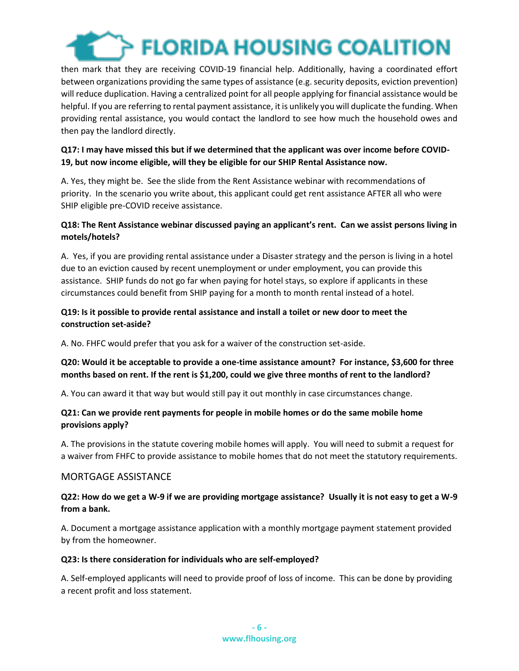then mark that they are receiving COVID-19 financial help. Additionally, having a coordinated effort between organizations providing the same types of assistance (e.g. security deposits, eviction prevention) will reduce duplication. Having a centralized point for all people applying for financial assistance would be helpful. If you are referring to rental payment assistance, it is unlikely you will duplicate the funding. When providing rental assistance, you would contact the landlord to see how much the household owes and then pay the landlord directly.

# **Q17: I may have missed this but if we determined that the applicant was over income before COVID-19, but now income eligible, will they be eligible for our SHIP Rental Assistance now.**

A. Yes, they might be. See the slide from the Rent Assistance webinar with recommendations of priority. In the scenario you write about, this applicant could get rent assistance AFTER all who were SHIP eligible pre-COVID receive assistance.

# **Q18: The Rent Assistance webinar discussed paying an applicant's rent. Can we assist persons living in motels/hotels?**

A. Yes, if you are providing rental assistance under a Disaster strategy and the person is living in a hotel due to an eviction caused by recent unemployment or under employment, you can provide this assistance. SHIP funds do not go far when paying for hotel stays, so explore if applicants in these circumstances could benefit from SHIP paying for a month to month rental instead of a hotel.

# **Q19: Is it possible to provide rental assistance and install a toilet or new door to meet the construction set-aside?**

A. No. FHFC would prefer that you ask for a waiver of the construction set-aside.

# **Q20: Would it be acceptable to provide a one-time assistance amount? For instance, \$3,600 for three months based on rent. If the rent is \$1,200, could we give three months of rent to the landlord?**

A. You can award it that way but would still pay it out monthly in case circumstances change.

# **Q21: Can we provide rent payments for people in mobile homes or do the same mobile home provisions apply?**

A. The provisions in the statute covering mobile homes will apply. You will need to submit a request for a waiver from FHFC to provide assistance to mobile homes that do not meet the statutory requirements.

### MORTGAGE ASSISTANCE

# **Q22: How do we get a W-9 if we are providing mortgage assistance? Usually it is not easy to get a W-9 from a bank.**

A. Document a mortgage assistance application with a monthly mortgage payment statement provided by from the homeowner.

### **Q23: Is there consideration for individuals who are self-employed?**

A. Self-employed applicants will need to provide proof of loss of income. This can be done by providing a recent profit and loss statement.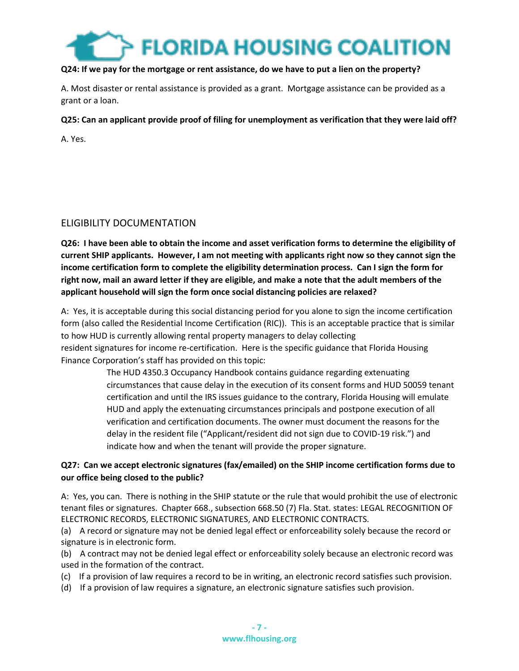

#### **Q24: If we pay for the mortgage or rent assistance, do we have to put a lien on the property?**

A. Most disaster or rental assistance is provided as a grant. Mortgage assistance can be provided as a grant or a loan.

#### **Q25: Can an applicant provide proof of filing for unemployment as verification that they were laid off?**

A. Yes.

#### ELIGIBILITY DOCUMENTATION

**Q26: I have been able to obtain the income and asset verification forms to determine the eligibility of current SHIP applicants. However, I am not meeting with applicants right now so they cannot sign the income certification form to complete the eligibility determination process. Can I sign the form for right now, mail an award letter if they are eligible, and make a note that the adult members of the applicant household will sign the form once social distancing policies are relaxed?** 

A: Yes, it is acceptable during this social distancing period for you alone to sign the income certification form (also called the Residential Income Certification (RIC)). This is an acceptable practice that is similar to how HUD is currently allowing rental property managers to delay collecting resident signatures for income re-certification. Here is the specific guidance that Florida Housing Finance Corporation's staff has provided on this topic:

The HUD 4350.3 Occupancy Handbook contains guidance regarding extenuating circumstances that cause delay in the execution of its consent forms and HUD 50059 tenant certification and until the IRS issues guidance to the contrary, Florida Housing will emulate HUD and apply the extenuating circumstances principals and postpone execution of all verification and certification documents. The owner must document the reasons for the delay in the resident file ("Applicant/resident did not sign due to COVID-19 risk.") and indicate how and when the tenant will provide the proper signature.

### **Q27: Can we accept electronic signatures (fax/emailed) on the SHIP income certification forms due to our office being closed to the public?**

A: Yes, you can. There is nothing in the SHIP statute or the rule that would prohibit the use of electronic tenant files or signatures. Chapter 668., subsection 668.50 (7) Fla. Stat. states: LEGAL RECOGNITION OF ELECTRONIC RECORDS, ELECTRONIC SIGNATURES, AND ELECTRONIC CONTRACTS.

(a) A record or signature may not be denied legal effect or enforceability solely because the record or signature is in electronic form.

(b) A contract may not be denied legal effect or enforceability solely because an electronic record was used in the formation of the contract.

(c) If a provision of law requires a record to be in writing, an electronic record satisfies such provision.

(d) If a provision of law requires a signature, an electronic signature satisfies such provision.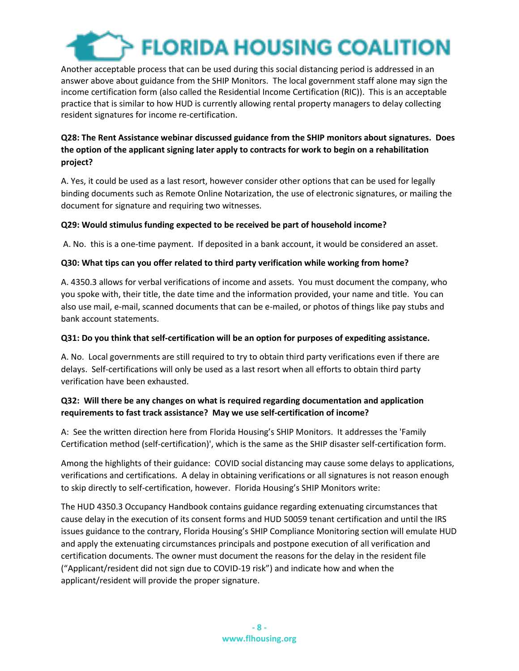Another acceptable process that can be used during this social distancing period is addressed in an answer above about guidance from the SHIP Monitors. The local government staff alone may sign the income certification form (also called the Residential Income Certification (RIC)). This is an acceptable practice that is similar to how HUD is currently allowing rental property managers to delay collecting resident signatures for income re-certification.

# **Q28: The Rent Assistance webinar discussed guidance from the SHIP monitors about signatures. Does the option of the applicant signing later apply to contracts for work to begin on a rehabilitation project?**

A. Yes, it could be used as a last resort, however consider other options that can be used for legally binding documents such as Remote Online Notarization, the use of electronic signatures, or mailing the document for signature and requiring two witnesses.

#### **Q29: Would stimulus funding expected to be received be part of household income?**

A. No. this is a one-time payment. If deposited in a bank account, it would be considered an asset.

#### **Q30: What tips can you offer related to third party verification while working from home?**

A. 4350.3 allows for verbal verifications of income and assets. You must document the company, who you spoke with, their title, the date time and the information provided, your name and title. You can also use mail, e-mail, scanned documents that can be e-mailed, or photos of things like pay stubs and bank account statements.

#### **Q31: Do you think that self-certification will be an option for purposes of expediting assistance.**

A. No. Local governments are still required to try to obtain third party verifications even if there are delays. Self-certifications will only be used as a last resort when all efforts to obtain third party verification have been exhausted.

### **Q32: Will there be any changes on what is required regarding documentation and application requirements to fast track assistance? May we use self-certification of income?**

A: See the written direction here from Florida Housing's SHIP Monitors. It addresses the 'Family Certification method (self-certification)', which is the same as the SHIP disaster self-certification form.

Among the highlights of their guidance: COVID social distancing may cause some delays to applications, verifications and certifications. A delay in obtaining verifications or all signatures is not reason enough to skip directly to self-certification, however. Florida Housing's SHIP Monitors write:

The HUD 4350.3 Occupancy Handbook contains guidance regarding extenuating circumstances that cause delay in the execution of its consent forms and HUD 50059 tenant certification and until the IRS issues guidance to the contrary, Florida Housing's SHIP Compliance Monitoring section will emulate HUD and apply the extenuating circumstances principals and postpone execution of all verification and certification documents. The owner must document the reasons for the delay in the resident file ("Applicant/resident did not sign due to COVID-19 risk") and indicate how and when the applicant/resident will provide the proper signature.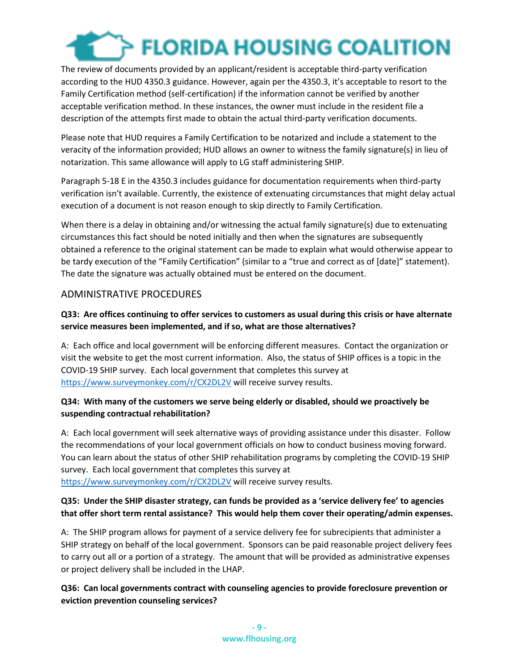The review of documents provided by an applicant/resident is acceptable third-party verification according to the HUD 4350.3 guidance. However, again per the 4350.3, it's acceptable to resort to the Family Certification method (self-certification) if the information cannot be verified by another acceptable verification method. In these instances, the owner must include in the resident file a description of the attempts first made to obtain the actual third-party verification documents.

Please note that HUD requires a Family Certification to be notarized and include a statement to the veracity of the information provided; HUD allows an owner to witness the family signature(s) in lieu of notarization. This same allowance will apply to LG staff administering SHIP.

Paragraph 5-18 E in the 4350.3 includes guidance for documentation requirements when third-party verification isn't available. Currently, the existence of extenuating circumstances that might delay actual execution of a document is not reason enough to skip directly to Family Certification.

When there is a delay in obtaining and/or witnessing the actual family signature(s) due to extenuating circumstances this fact should be noted initially and then when the signatures are subsequently obtained a reference to the original statement can be made to explain what would otherwise appear to be tardy execution of the "Family Certification" (similar to a "true and correct as of [date]" statement). The date the signature was actually obtained must be entered on the document.

# ADMINISTRATIVE PROCEDURES

# **Q33: Are offices continuing to offer services to customers as usual during this crisis or have alternate service measures been implemented, and if so, what are those alternatives?**

A: Each office and local government will be enforcing different measures. Contact the organization or visit the website to get the most current information. Also, the status of SHIP offices is a topic in the COVID-19 SHIP survey. Each local government that completes this survey at <https://www.surveymonkey.com/r/CX2DL2V> will receive survey results.

### **Q34: With many of the customers we serve being elderly or disabled, should we proactively be suspending contractual rehabilitation?**

A: Each local government will seek alternative ways of providing assistance under this disaster. Follow the recommendations of your local government officials on how to conduct business moving forward. You can learn about the status of other SHIP rehabilitation programs by completing the COVID-19 SHIP survey. Each local government that completes this survey at <https://www.surveymonkey.com/r/CX2DL2V> will receive survey results.

### **Q35: Under the SHIP disaster strategy, can funds be provided as a 'service delivery fee' to agencies that offer short term rental assistance? This would help them cover their operating/admin expenses.**

A: The SHIP program allows for payment of a service delivery fee for subrecipients that administer a SHIP strategy on behalf of the local government. Sponsors can be paid reasonable project delivery fees to carry out all or a portion of a strategy. The amount that will be provided as administrative expenses or project delivery shall be included in the LHAP.

# **Q36: Can local governments contract with counseling agencies to provide foreclosure prevention or eviction prevention counseling services?**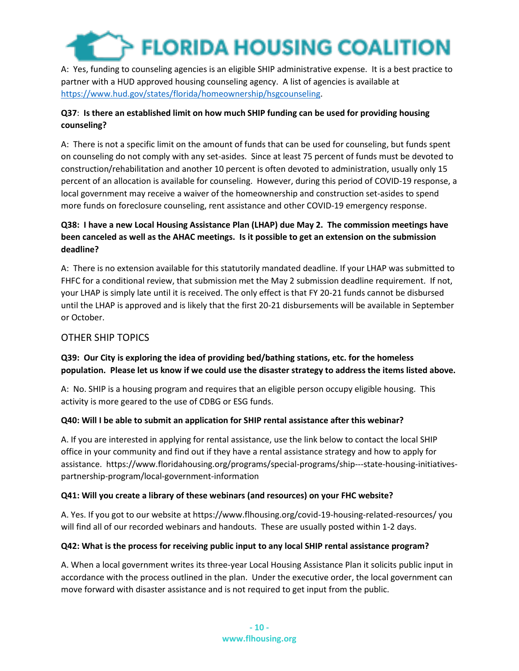A: Yes, funding to counseling agencies is an eligible SHIP administrative expense. It is a best practice to partner with a HUD approved housing counseling agency. A list of agencies is available at [https://www.hud.gov/states/florida/homeownership/hsgcounseling.](https://www.hud.gov/states/florida/homeownership/hsgcounseling)

# **Q37**: **Is there an established limit on how much SHIP funding can be used for providing housing counseling?**

A: There is not a specific limit on the amount of funds that can be used for counseling, but funds spent on counseling do not comply with any set-asides. Since at least 75 percent of funds must be devoted to construction/rehabilitation and another 10 percent is often devoted to administration, usually only 15 percent of an allocation is available for counseling. However, during this period of COVID-19 response, a local government may receive a waiver of the homeownership and construction set-asides to spend more funds on foreclosure counseling, rent assistance and other COVID-19 emergency response.

# **Q38: I have a new Local Housing Assistance Plan (LHAP) due May 2. The commission meetings have been canceled as well as the AHAC meetings. Is it possible to get an extension on the submission deadline?**

A: There is no extension available for this statutorily mandated deadline. If your LHAP was submitted to FHFC for a conditional review, that submission met the May 2 submission deadline requirement. If not, your LHAP is simply late until it is received. The only effect is that FY 20-21 funds cannot be disbursed until the LHAP is approved and is likely that the first 20-21 disbursements will be available in September or October.

# OTHER SHIP TOPICS

# **Q39: Our City is exploring the idea of providing bed/bathing stations, etc. for the homeless population. Please let us know if we could use the disaster strategy to address the items listed above.**

A: No. SHIP is a housing program and requires that an eligible person occupy eligible housing. This activity is more geared to the use of CDBG or ESG funds.

### **Q40: Will I be able to submit an application for SHIP rental assistance after this webinar?**

A. If you are interested in applying for rental assistance, use the link below to contact the local SHIP office in your community and find out if they have a rental assistance strategy and how to apply for assistance. https://www.floridahousing.org/programs/special-programs/ship---state-housing-initiativespartnership-program/local-government-information

### **Q41: Will you create a library of these webinars (and resources) on your FHC website?**

A. Yes. If you got to our website at https://www.flhousing.org/covid-19-housing-related-resources/ you will find all of our recorded webinars and handouts. These are usually posted within 1-2 days.

### **Q42: What is the process for receiving public input to any local SHIP rental assistance program?**

A. When a local government writes its three-year Local Housing Assistance Plan it solicits public input in accordance with the process outlined in the plan. Under the executive order, the local government can move forward with disaster assistance and is not required to get input from the public.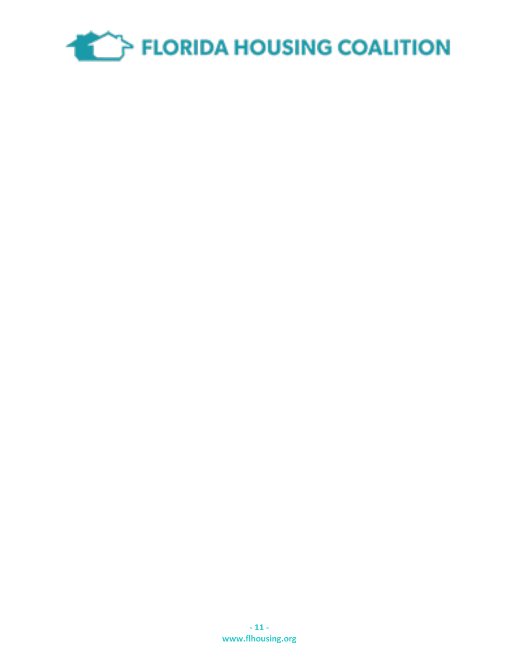<span id="page-10-0"></span>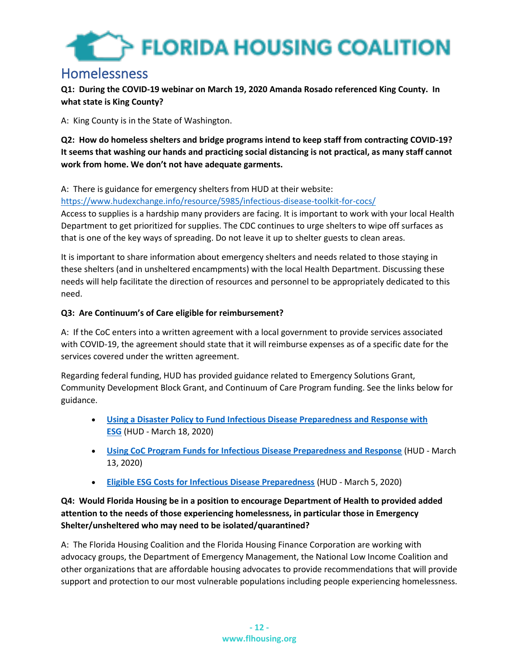# Homelessness

**Q1: During the COVID-19 webinar on March 19, 2020 Amanda Rosado referenced King County. In what state is King County?**

A: King County is in the State of Washington.

**Q2: How do homeless shelters and bridge programs intend to keep staff from contracting COVID-19? It seems that washing our hands and practicing social distancing is not practical, as many staff cannot work from home. We don't not have adequate garments.**

A: There is guidance for emergency shelters from HUD at their website:

<https://www.hudexchange.info/resource/5985/infectious-disease-toolkit-for-cocs/>

Access to supplies is a hardship many providers are facing. It is important to work with your local Health Department to get prioritized for supplies. The CDC continues to urge shelters to wipe off surfaces as that is one of the key ways of spreading. Do not leave it up to shelter guests to clean areas.

It is important to share information about emergency shelters and needs related to those staying in these shelters (and in unsheltered encampments) with the local Health Department. Discussing these needs will help facilitate the direction of resources and personnel to be appropriately dedicated to this need.

# **Q3: Are Continuum's of Care eligible for reimbursement?**

A: If the CoC enters into a written agreement with a local government to provide services associated with COVID-19, the agreement should state that it will reimburse expenses as of a specific date for the services covered under the written agreement.

Regarding federal funding, HUD has provided guidance related to Emergency Solutions Grant, Community Development Block Grant, and Continuum of Care Program funding. See the links below for guidance.

- **[Using a Disaster Policy to Fund Infectious Disease Preparedness and Response with](https://files.hudexchange.info/resources/documents/Using-a-Disaster-Policy-to-Fund-Infectious-Disease-Preparedness-and-Response-with-ESG.pdf)  [ESG](https://files.hudexchange.info/resources/documents/Using-a-Disaster-Policy-to-Fund-Infectious-Disease-Preparedness-and-Response-with-ESG.pdf)** (HUD - March 18, 2020)
- **[Using CoC Program Funds for Infectious Disease Preparedness and Response](https://files.hudexchange.info/resources/documents/Using-CoC-Program-Funds-for-Infectious-Disease-Preparedness-and-Response.pdf)** (HUD March 13, 2020)
- **[Eligible ESG Costs for Infectious Disease Preparedness](https://files.hudexchange.info/resources/documents/Eligible-ESG-Program-Costs-for-Infectious-Disease-Preparedness.pdf)** (HUD March 5, 2020)

# **Q4: Would Florida Housing be in a position to encourage Department of Health to provided added attention to the needs of those experiencing homelessness, in particular those in Emergency Shelter/unsheltered who may need to be isolated/quarantined?**

A: The Florida Housing Coalition and the Florida Housing Finance Corporation are working with advocacy groups, the Department of Emergency Management, the National Low Income Coalition and other organizations that are affordable housing advocates to provide recommendations that will provide support and protection to our most vulnerable populations including people experiencing homelessness.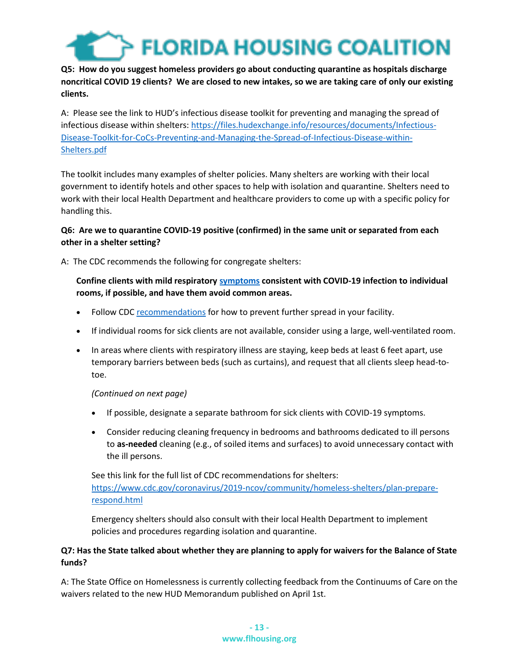

# **Q5: How do you suggest homeless providers go about conducting quarantine as hospitals discharge noncritical COVID 19 clients? We are closed to new intakes, so we are taking care of only our existing clients.**

A: Please see the link to HUD's infectious disease toolkit for preventing and managing the spread of infectious disease within shelters[: https://files.hudexchange.info/resources/documents/Infectious-](https://files.hudexchange.info/resources/documents/Infectious-Disease-Toolkit-for-CoCs-Preventing-and-Managing-the-Spread-of-Infectious-Disease-within-Shelters.pdf)[Disease-Toolkit-for-CoCs-Preventing-and-Managing-the-Spread-of-Infectious-Disease-within-](https://files.hudexchange.info/resources/documents/Infectious-Disease-Toolkit-for-CoCs-Preventing-and-Managing-the-Spread-of-Infectious-Disease-within-Shelters.pdf)[Shelters.pdf](https://files.hudexchange.info/resources/documents/Infectious-Disease-Toolkit-for-CoCs-Preventing-and-Managing-the-Spread-of-Infectious-Disease-within-Shelters.pdf)

The toolkit includes many examples of shelter policies. Many shelters are working with their local government to identify hotels and other spaces to help with isolation and quarantine. Shelters need to work with their local Health Department and healthcare providers to come up with a specific policy for handling this.

# **Q6: Are we to quarantine COVID-19 positive (confirmed) in the same unit or separated from each other in a shelter setting?**

A: The CDC recommends the following for congregate shelters:

# **Confine clients with mild respiratory [symptoms](https://www.cdc.gov/coronavirus/2019-ncov/about/symptoms.html) consistent with COVID-19 infection to individual rooms, if possible, and have them avoid common areas.**

- Follow CDC [recommendations](https://www.cdc.gov/coronavirus/2019-ncov/community/organizations/cleaning-disinfection.html) for how to prevent further spread in your facility.
- If individual rooms for sick clients are not available, consider using a large, well-ventilated room.
- In areas where clients with respiratory illness are staying, keep beds at least 6 feet apart, use temporary barriers between beds (such as curtains), and request that all clients sleep head-totoe.

#### *(Continued on next page)*

- If possible, designate a separate bathroom for sick clients with COVID-19 symptoms.
- Consider reducing cleaning frequency in bedrooms and bathrooms dedicated to ill persons to **as-needed** cleaning (e.g., of soiled items and surfaces) to avoid unnecessary contact with the ill persons.

See this link for the full list of CDC recommendations for shelters: [https://www.cdc.gov/coronavirus/2019-ncov/community/homeless-shelters/plan-prepare](https://www.cdc.gov/coronavirus/2019-ncov/community/homeless-shelters/plan-prepare-respond.html)[respond.html](https://www.cdc.gov/coronavirus/2019-ncov/community/homeless-shelters/plan-prepare-respond.html)

Emergency shelters should also consult with their local Health Department to implement policies and procedures regarding isolation and quarantine.

### **Q7: Has the State talked about whether they are planning to apply for waivers for the Balance of State funds?**

A: The State Office on Homelessness is currently collecting feedback from the Continuums of Care on the waivers related to the new HUD Memorandum published on April 1st.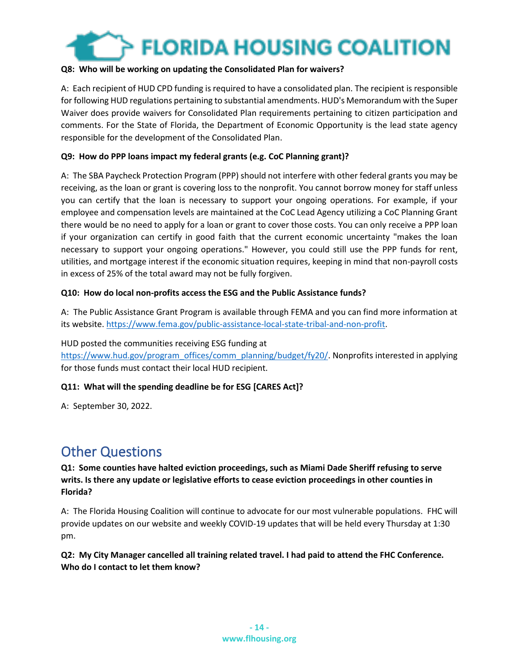

#### **Q8: Who will be working on updating the Consolidated Plan for waivers?**

A: Each recipient of HUD CPD funding is required to have a consolidated plan. The recipient is responsible for following HUD regulations pertaining to substantial amendments. HUD's Memorandum with the Super Waiver does provide waivers for Consolidated Plan requirements pertaining to citizen participation and comments. For the State of Florida, the Department of Economic Opportunity is the lead state agency responsible for the development of the Consolidated Plan.

#### **Q9: How do PPP loans impact my federal grants (e.g. CoC Planning grant)?**

A: The SBA Paycheck Protection Program (PPP) should not interfere with other federal grants you may be receiving, as the loan or grant is covering loss to the nonprofit. You cannot borrow money for staff unless you can certify that the loan is necessary to support your ongoing operations. For example, if your employee and compensation levels are maintained at the CoC Lead Agency utilizing a CoC Planning Grant there would be no need to apply for a loan or grant to cover those costs. You can only receive a PPP loan if your organization can certify in good faith that the current economic uncertainty "makes the loan necessary to support your ongoing operations." However, you could still use the PPP funds for rent, utilities, and mortgage interest if the economic situation requires, keeping in mind that non-payroll costs in excess of 25% of the total award may not be fully forgiven.

#### **Q10: How do local non-profits access the ESG and the Public Assistance funds?**

A: The Public Assistance Grant Program is available through FEMA and you can find more information at its website[. https://www.fema.gov/public-assistance-local-state-tribal-and-non-profit.](https://www.fema.gov/public-assistance-local-state-tribal-and-non-profit)

#### HUD posted the communities receiving ESG funding at

[https://www.hud.gov/program\\_offices/comm\\_planning/budget/fy20/.](https://www.hud.gov/program_offices/comm_planning/budget/fy20/) Nonprofits interested in applying for those funds must contact their local HUD recipient.

#### **Q11: What will the spending deadline be for ESG [CARES Act]?**

A: September 30, 2022.

# <span id="page-13-0"></span>Other Questions

**Q1: Some counties have halted eviction proceedings, such as Miami Dade Sheriff refusing to serve writs. Is there any update or legislative efforts to cease eviction proceedings in other counties in Florida?**

A: The Florida Housing Coalition will continue to advocate for our most vulnerable populations. FHC will provide updates on our website and weekly COVID-19 updates that will be held every Thursday at 1:30 pm.

# **Q2: My City Manager cancelled all training related travel. I had paid to attend the FHC Conference. Who do I contact to let them know?**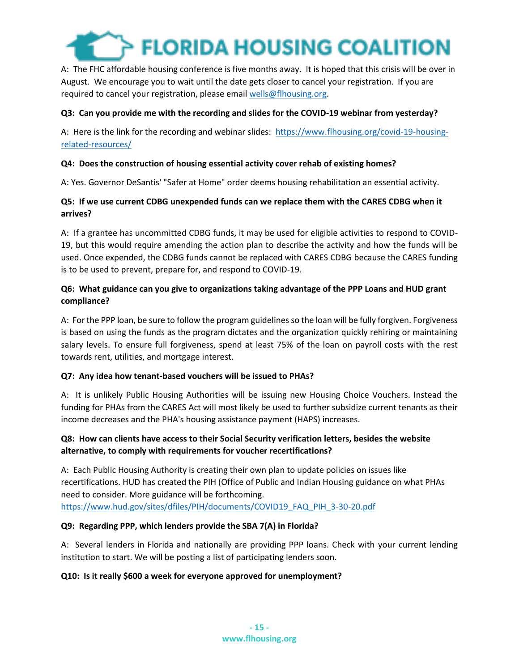

A: The FHC affordable housing conference is five months away. It is hoped that this crisis will be over in August. We encourage you to wait until the date gets closer to cancel your registration. If you are required to cancel your registration, please email [wells@flhousing.org.](mailto:wells@flhousing.org)

#### **Q3: Can you provide me with the recording and slides for the COVID-19 webinar from yesterday?**

A: Here is the link for the recording and webinar slides: [https://www.flhousing.org/covid-19-housing](https://www.flhousing.org/covid-19-housing-related-resources/)[related-resources/](https://www.flhousing.org/covid-19-housing-related-resources/)

#### **Q4: Does the construction of housing essential activity cover rehab of existing homes?**

A: Yes. Governor DeSantis' "Safer at Home" order deems housing rehabilitation an essential activity.

#### **Q5: If we use current CDBG unexpended funds can we replace them with the CARES CDBG when it arrives?**

A: If a grantee has uncommitted CDBG funds, it may be used for eligible activities to respond to COVID-19, but this would require amending the action plan to describe the activity and how the funds will be used. Once expended, the CDBG funds cannot be replaced with CARES CDBG because the CARES funding is to be used to prevent, prepare for, and respond to COVID-19.

### **Q6: What guidance can you give to organizations taking advantage of the PPP Loans and HUD grant compliance?**

A: For the PPP loan, be sure to follow the program guidelines so the loan will be fully forgiven. Forgiveness is based on using the funds as the program dictates and the organization quickly rehiring or maintaining salary levels. To ensure full forgiveness, spend at least 75% of the loan on payroll costs with the rest towards rent, utilities, and mortgage interest.

#### **Q7: Any idea how tenant-based vouchers will be issued to PHAs?**

A: It is unlikely Public Housing Authorities will be issuing new Housing Choice Vouchers. Instead the funding for PHAs from the CARES Act will most likely be used to further subsidize current tenants as their income decreases and the PHA's housing assistance payment (HAPS) increases.

#### **Q8: How can clients have access to their Social Security verification letters, besides the website alternative, to comply with requirements for voucher recertifications?**

A: Each Public Housing Authority is creating their own plan to update policies on issues like recertifications. HUD has created the PIH (Office of Public and Indian Housing guidance on what PHAs need to consider. More guidance will be forthcoming. [https://www.hud.gov/sites/dfiles/PIH/documents/COVID19\\_FAQ\\_PIH\\_3-30-20.pdf](https://www.hud.gov/sites/dfiles/PIH/documents/COVID19_FAQ_PIH_3-30-20.pdf)

#### **Q9: Regarding PPP, which lenders provide the SBA 7(A) in Florida?**

A: Several lenders in Florida and nationally are providing PPP loans. Check with your current lending institution to start. We will be posting a list of participating lenders soon.

#### **Q10: Is it really \$600 a week for everyone approved for unemployment?**